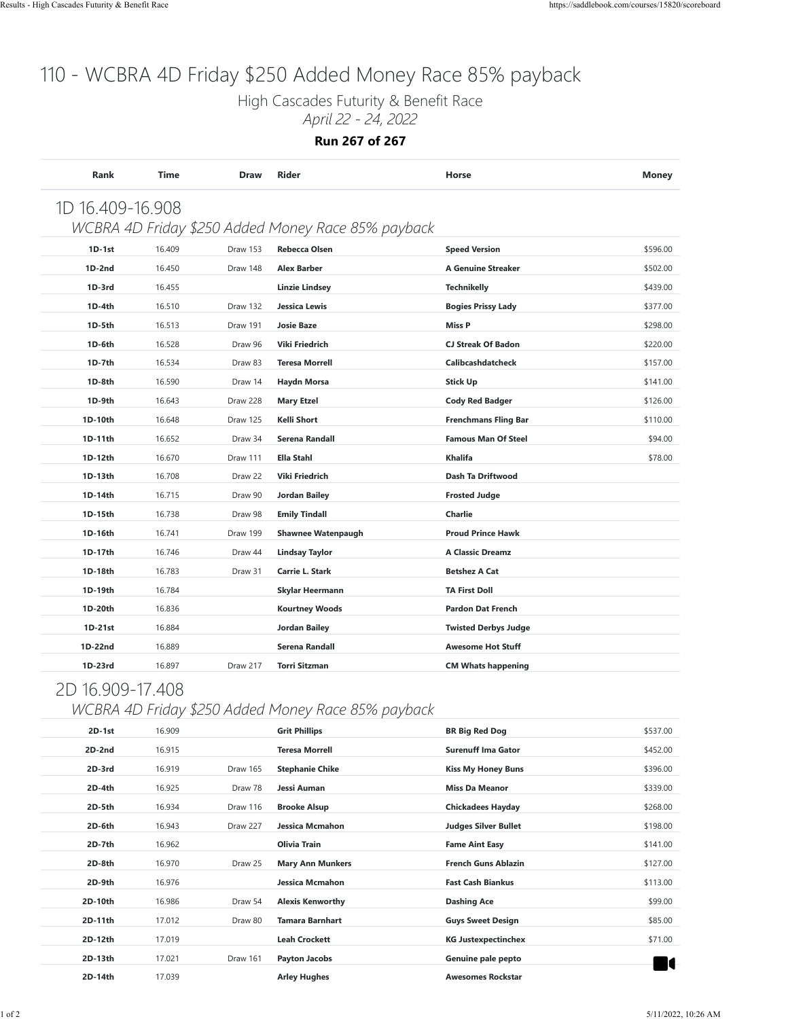High Cascades Futurity & Benefit Race

*April 22 - 24, 2022*

**Run 267 of 267**

| Rank             | Time   | <b>Draw</b>     | <b>Rider</b>                                       | Horse                       | <b>Money</b> |
|------------------|--------|-----------------|----------------------------------------------------|-----------------------------|--------------|
| 1D 16.409-16.908 |        |                 |                                                    |                             |              |
|                  |        |                 | WCBRA 4D Friday \$250 Added Money Race 85% payback |                             |              |
| $1D-1st$         | 16.409 | <b>Draw 153</b> | <b>Rebecca Olsen</b>                               | <b>Speed Version</b>        | \$596.00     |
| $1D-2nd$         | 16.450 | Draw 148        | <b>Alex Barber</b>                                 | <b>A Genuine Streaker</b>   | \$502.00     |
| $1D-3rd$         | 16.455 |                 | Linzie Lindsey                                     | <b>Technikelly</b>          | \$439.00     |
| $1D-4th$         | 16.510 | Draw 132        | Jessica Lewis                                      | <b>Bogies Prissy Lady</b>   | \$377.00     |
| 1D-5th           | 16.513 | Draw 191        | <b>Josie Baze</b>                                  | <b>Miss P</b>               | \$298.00     |
| 1D-6th           | 16.528 | Draw 96         | Viki Friedrich                                     | <b>CJ Streak Of Badon</b>   | \$220.00     |
| $1D-7th$         | 16.534 | Draw 83         | <b>Teresa Morrell</b>                              | Calibcashdatcheck           | \$157.00     |
| 1D-8th           | 16.590 | Draw 14         | Haydn Morsa                                        | <b>Stick Up</b>             | \$141.00     |
| $1D-9th$         | 16.643 | Draw 228        | <b>Mary Etzel</b>                                  | <b>Cody Red Badger</b>      | \$126.00     |
| 1D-10th          | 16.648 | Draw 125        | Kelli Short                                        | <b>Frenchmans Fling Bar</b> | \$110.00     |
| 1D-11th          | 16.652 | Draw 34         | Serena Randall                                     | <b>Famous Man Of Steel</b>  | \$94.00      |
| 1D-12th          | 16.670 | Draw 111        | <b>Ella Stahl</b>                                  | <b>Khalifa</b>              | \$78.00      |
| 1D-13th          | 16.708 | Draw 22         | Viki Friedrich                                     | Dash Ta Driftwood           |              |
| 1D-14th          | 16.715 | Draw 90         | <b>Jordan Bailey</b>                               | <b>Frosted Judge</b>        |              |
| 1D-15th          | 16.738 | Draw 98         | <b>Emily Tindall</b>                               | <b>Charlie</b>              |              |
| 1D-16th          | 16.741 | Draw 199        | <b>Shawnee Watenpaugh</b>                          | <b>Proud Prince Hawk</b>    |              |
| 1D-17th          | 16.746 | Draw 44         | Lindsay Taylor                                     | <b>A Classic Dreamz</b>     |              |
| 1D-18th          | 16.783 | Draw 31         | Carrie L. Stark                                    | <b>Betshez A Cat</b>        |              |
| 1D-19th          | 16.784 |                 | Skylar Heermann                                    | <b>TA First Doll</b>        |              |
| 1D-20th          | 16.836 |                 | <b>Kourtney Woods</b>                              | <b>Pardon Dat French</b>    |              |
| $1D-21st$        | 16.884 |                 | Jordan Bailey                                      | <b>Twisted Derbys Judge</b> |              |
| 1D-22nd          | 16.889 |                 | Serena Randall                                     | <b>Awesome Hot Stuff</b>    |              |
| 1D-23rd          | 16.897 | Draw 217        | <b>Torri Sitzman</b>                               | <b>CM Whats happening</b>   |              |
|                  |        |                 |                                                    |                             |              |

#### 2D 16.909-17.408

#### *WCBRA 4D Friday \$250 Added Money Race 85% payback*

| $2D-1st$ | 16.909 |          | <b>Grit Phillips</b>    | <b>BR Big Red Dog</b>       | \$537.00 |
|----------|--------|----------|-------------------------|-----------------------------|----------|
| 2D-2nd   | 16.915 |          | <b>Teresa Morrell</b>   | <b>Surenuff Ima Gator</b>   | \$452.00 |
| 2D-3rd   | 16.919 | Draw 165 | <b>Stephanie Chike</b>  | <b>Kiss My Honey Buns</b>   | \$396.00 |
| 2D-4th   | 16.925 | Draw 78  | Jessi Auman             | <b>Miss Da Meanor</b>       | \$339.00 |
| 2D-5th   | 16.934 | Draw 116 | <b>Brooke Alsup</b>     | <b>Chickadees Hayday</b>    | \$268.00 |
| 2D-6th   | 16.943 | Draw 227 | Jessica Mcmahon         | <b>Judges Silver Bullet</b> | \$198.00 |
| 2D-7th   | 16.962 |          | Olivia Train            | <b>Fame Aint Easy</b>       | \$141.00 |
| 2D-8th   | 16.970 | Draw 25  | <b>Mary Ann Munkers</b> | <b>French Guns Ablazin</b>  | \$127.00 |
| 2D-9th   | 16.976 |          | Jessica Mcmahon         | <b>Fast Cash Biankus</b>    | \$113.00 |
| 2D-10th  | 16.986 | Draw 54  | <b>Alexis Kenworthy</b> | <b>Dashing Ace</b>          | \$99.00  |
| 2D-11th  | 17.012 | Draw 80  | <b>Tamara Barnhart</b>  | <b>Guys Sweet Design</b>    | \$85.00  |
| 2D-12th  | 17.019 |          | <b>Leah Crockett</b>    | <b>KG Justexpectinchex</b>  | \$71.00  |
| 2D-13th  | 17.021 | Draw 161 | Payton Jacobs           | Genuine pale pepto          |          |
| 2D-14th  | 17.039 |          | <b>Arley Hughes</b>     | <b>Awesomes Rockstar</b>    | K        |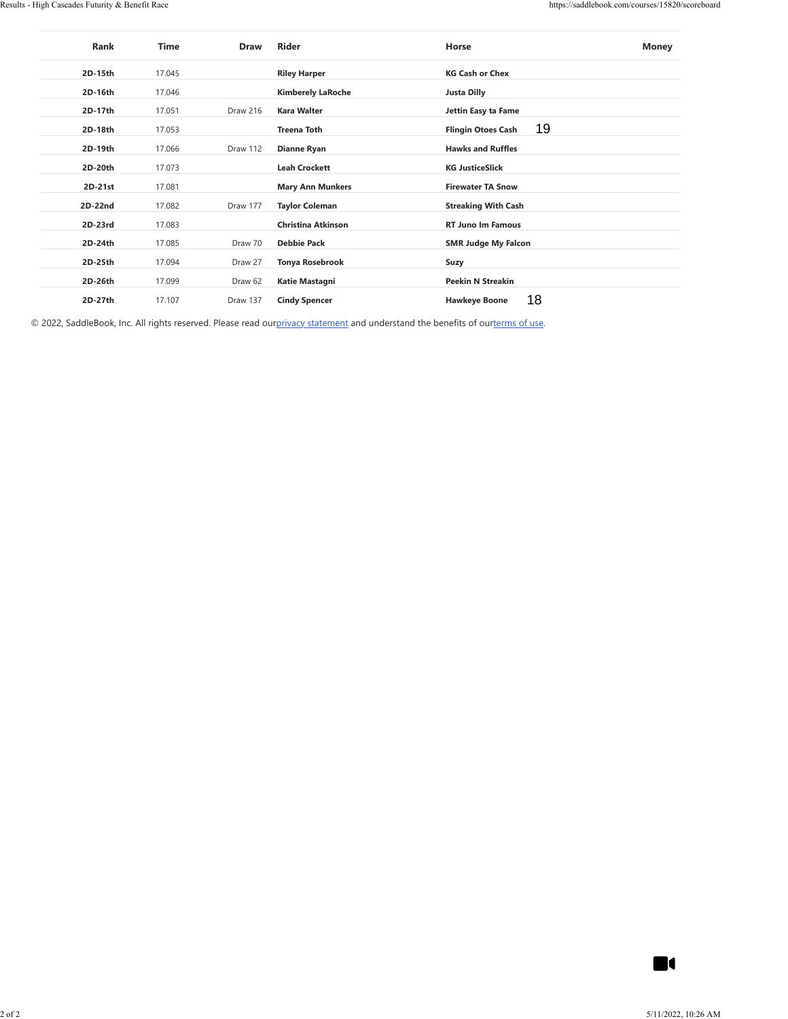| 2D-15th   |        | Draw     | Rider                    | Horse                           | <b>Money</b>   |
|-----------|--------|----------|--------------------------|---------------------------------|----------------|
|           | 17.045 |          | <b>Riley Harper</b>      | <b>KG Cash or Chex</b>          |                |
| 2D-16th   | 17.046 |          | <b>Kimberely LaRoche</b> | <b>Justa Dilly</b>              |                |
| 2D-17th   | 17.051 | Draw 216 | <b>Kara Walter</b>       | Jettin Easy ta Fame             |                |
| 2D-18th   | 17.053 |          | <b>Treena Toth</b>       | 19<br><b>Flingin Otoes Cash</b> |                |
| 2D-19th   | 17.066 | Draw 112 | <b>Dianne Ryan</b>       | <b>Hawks and Ruffles</b>        |                |
| 2D-20th   | 17.073 |          | <b>Leah Crockett</b>     | <b>KG JusticeSlick</b>          |                |
| $2D-21st$ | 17.081 |          | <b>Mary Ann Munkers</b>  | <b>Firewater TA Snow</b>        |                |
| 2D-22nd   | 17.082 | Draw 177 | <b>Taylor Coleman</b>    | <b>Streaking With Cash</b>      |                |
| $2D-23rd$ | 17.083 |          | Christina Atkinson       | RT Juno Im Famous               |                |
| 2D-24th   | 17.085 | Draw 70  | <b>Debbie Pack</b>       | <b>SMR Judge My Falcon</b>      |                |
| 2D-25th   | 17.094 | Draw 27  | <b>Tonya Rosebrook</b>   | Suzy                            |                |
| 2D-26th   | 17.099 | Draw 62  | Katie Mastagni           | <b>Peekin N Streakin</b>        |                |
| 2D-27th   | 17.107 | Draw 137 | <b>Cindy Spencer</b>     | 18<br><b>Hawkeye Boone</b>      |                |
|           |        |          |                          |                                 |                |
|           |        |          |                          |                                 |                |
|           |        |          |                          |                                 |                |
|           |        |          |                          |                                 |                |
|           |        |          |                          |                                 |                |
|           |        |          |                          |                                 |                |
|           |        |          |                          |                                 |                |
|           |        |          |                          |                                 |                |
|           |        |          |                          |                                 |                |
|           |        |          |                          |                                 |                |
|           |        |          |                          |                                 |                |
|           |        |          |                          |                                 |                |
|           |        |          |                          |                                 |                |
|           |        |          |                          |                                 |                |
|           |        |          |                          |                                 |                |
|           |        |          |                          |                                 |                |
|           |        |          |                          |                                 |                |
|           |        |          |                          |                                 |                |
|           |        |          |                          |                                 |                |
|           |        |          |                          |                                 |                |
|           |        |          |                          |                                 |                |
|           |        |          |                          |                                 |                |
|           |        |          |                          |                                 |                |
|           |        |          |                          |                                 |                |
|           |        |          |                          |                                 |                |
|           |        |          |                          |                                 |                |
|           |        |          |                          |                                 |                |
|           |        |          |                          |                                 |                |
|           |        |          |                          |                                 |                |
|           |        |          |                          |                                 |                |
|           |        |          |                          |                                 | $\blacksquare$ |

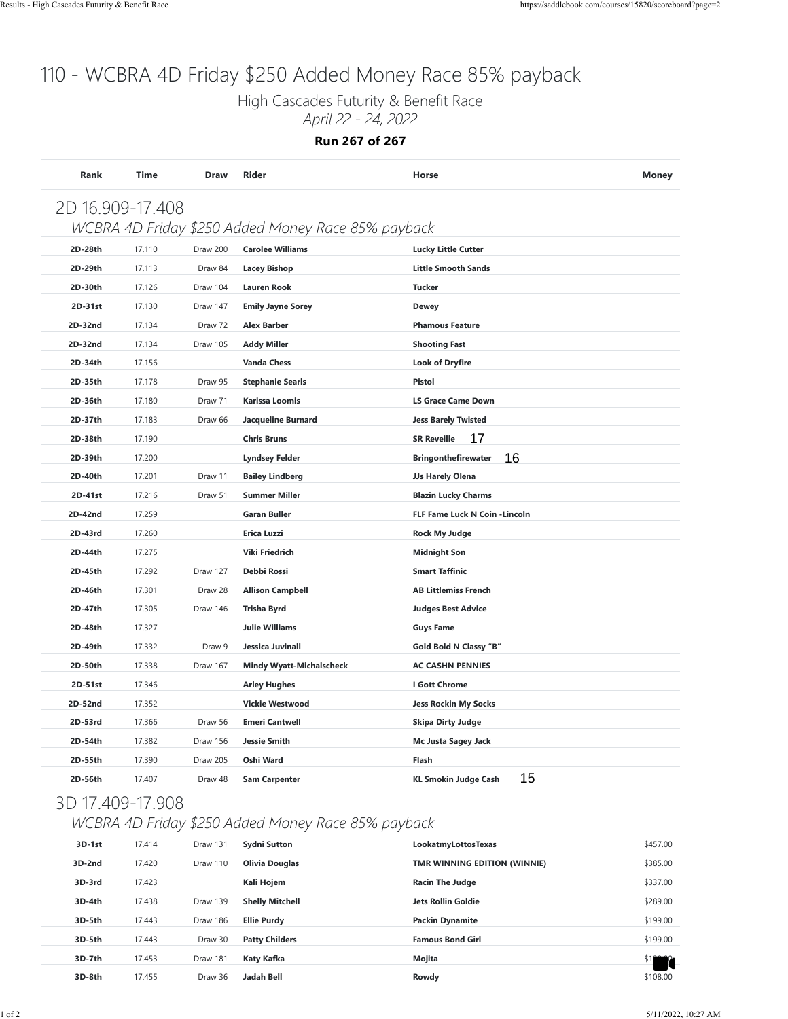High Cascades Futurity & Benefit Race *April 22 - 24, 2022*

#### **Run 267 of 267**

| 2D 16.909-17.408 |        |          |                                                    |                                   |          |
|------------------|--------|----------|----------------------------------------------------|-----------------------------------|----------|
|                  |        |          | WCBRA 4D Friday \$250 Added Money Race 85% payback |                                   |          |
| 2D-28th          | 17.110 | Draw 200 | <b>Carolee Williams</b>                            | <b>Lucky Little Cutter</b>        |          |
| 2D-29th          | 17.113 | Draw 84  | <b>Lacey Bishop</b>                                | <b>Little Smooth Sands</b>        |          |
| 2D-30th          | 17.126 | Draw 104 | <b>Lauren Rook</b>                                 | <b>Tucker</b>                     |          |
| 2D-31st          | 17.130 | Draw 147 | <b>Emily Jayne Sorey</b>                           | <b>Dewey</b>                      |          |
| 2D-32nd          | 17.134 | Draw 72  | <b>Alex Barber</b>                                 | <b>Phamous Feature</b>            |          |
| 2D-32nd          | 17.134 | Draw 105 | <b>Addy Miller</b>                                 | <b>Shooting Fast</b>              |          |
| 2D-34th          | 17.156 |          | <b>Vanda Chess</b>                                 | <b>Look of Dryfire</b>            |          |
| 2D-35th          | 17.178 | Draw 95  | <b>Stephanie Searls</b>                            | Pistol                            |          |
| 2D-36th          | 17.180 | Draw 71  | <b>Karissa Loomis</b>                              | <b>LS Grace Came Down</b>         |          |
| 2D-37th          | 17.183 | Draw 66  | <b>Jacqueline Burnard</b>                          | <b>Jess Barely Twisted</b>        |          |
| 2D-38th          | 17.190 |          | <b>Chris Bruns</b>                                 | 17<br><b>SR Reveille</b>          |          |
| 2D-39th          | 17.200 |          | <b>Lyndsey Felder</b>                              | 16<br><b>Bringonthefirewater</b>  |          |
| 2D-40th          | 17.201 | Draw 11  | <b>Bailey Lindberg</b>                             | JJs Harely Olena                  |          |
| 2D-41st          | 17.216 | Draw 51  | <b>Summer Miller</b>                               | <b>Blazin Lucky Charms</b>        |          |
| 2D-42nd          | 17.259 |          | <b>Garan Buller</b>                                | FLF Fame Luck N Coin - Lincoln    |          |
| 2D-43rd          | 17.260 |          | Erica Luzzi                                        | <b>Rock My Judge</b>              |          |
| 2D-44th          | 17.275 |          | Viki Friedrich                                     | <b>Midnight Son</b>               |          |
| 2D-45th          | 17.292 | Draw 127 | Debbi Rossi                                        | <b>Smart Taffinic</b>             |          |
| 2D-46th          | 17.301 | Draw 28  | <b>Allison Campbell</b>                            | <b>AB Littlemiss French</b>       |          |
| 2D-47th          | 17.305 | Draw 146 | <b>Trisha Byrd</b>                                 | <b>Judges Best Advice</b>         |          |
| 2D-48th          | 17.327 |          | <b>Julie Williams</b>                              | <b>Guys Fame</b>                  |          |
| 2D-49th          | 17.332 | Draw 9   | Jessica Juvinall                                   | Gold Bold N Classy "B"            |          |
| 2D-50th          | 17.338 | Draw 167 | <b>Mindy Wyatt-Michalscheck</b>                    | <b>AC CASHN PENNIES</b>           |          |
| 2D-51st          | 17.346 |          | <b>Arley Hughes</b>                                | I Gott Chrome                     |          |
| 2D-52nd          | 17.352 |          | <b>Vickie Westwood</b>                             | <b>Jess Rockin My Socks</b>       |          |
| 2D-53rd          | 17.366 | Draw 56  | <b>Emeri Cantwell</b>                              | Skipa Dirty Judge                 |          |
| 2D-54th          | 17.382 | Draw 156 | <b>Jessie Smith</b>                                | Mc Justa Sagey Jack               |          |
| 2D-55th          | 17.390 | Draw 205 | Oshi Ward                                          | Flash                             |          |
| 2D-56th          | 17.407 | Draw 48  | <b>Sam Carpenter</b>                               | 15<br><b>KL Smokin Judge Cash</b> |          |
| 3D 17.409-17.908 |        |          |                                                    |                                   |          |
|                  |        |          | WCBRA 4D Friday \$250 Added Money Race 85% payback |                                   |          |
| 3D-1st           | 17.414 | Draw 131 | <b>Sydni Sutton</b>                                | LookatmyLottosTexas               | \$457.00 |
| 3D-2nd           | 17.420 | Draw 110 | <b>Olivia Douglas</b>                              | TMR WINNING EDITION (WINNIE)      | \$385.00 |
| 3D-3rd           | 17.423 |          | Kali Hojem                                         | <b>Racin The Judge</b>            | \$337.00 |
| 3D-4th           | 17.438 | Draw 139 | <b>Shelly Mitchell</b>                             | <b>Jets Rollin Goldie</b>         | \$289.00 |
| 3D-5th           | 17.443 | Draw 186 | <b>Ellie Purdy</b>                                 | <b>Packin Dynamite</b>            | \$199.00 |
| 3D-5th           | 17.443 | Draw 30  | <b>Patty Childers</b>                              | <b>Famous Bond Girl</b>           | \$199.00 |
| 3D-7th           | 17.453 | Draw 181 | Katy Kafka                                         | Mojita                            |          |
| 3D-8th           | 17.455 | Draw 36  | <b>Jadah Bell</b>                                  | Rowdy                             | \$108.00 |

#### 3D 17.409-17.908

#### *WCBRA 4D Friday \$250 Added Money Race 85% payback*

| 3D-1st   | 17.414 | Draw 131 | <b>Sydni Sutton</b>    | LookatmyLottosTexas          | \$457.00 |
|----------|--------|----------|------------------------|------------------------------|----------|
| 3D-2nd   | 17.420 | Draw 110 | <b>Olivia Douglas</b>  | TMR WINNING EDITION (WINNIE) | \$385.00 |
| 3D-3rd   | 17.423 |          | Kali Hojem             | <b>Racin The Judge</b>       | \$337.00 |
| $3D-4th$ | 17.438 | Draw 139 | <b>Shelly Mitchell</b> | <b>Jets Rollin Goldie</b>    | \$289.00 |
| 3D-5th   | 17.443 | Draw 186 | <b>Ellie Purdy</b>     | <b>Packin Dynamite</b>       | \$199.00 |
| 3D-5th   | 17.443 | Draw 30  | <b>Patty Childers</b>  | <b>Famous Bond Girl</b>      | \$199.00 |
| 3D-7th   | 17.453 | Draw 181 | Katy Kafka             | Mojita                       |          |
| 3D-8th   | 17.455 | Draw 36  | Jadah Bell             | Rowdy                        | \$108.00 |
|          |        |          |                        |                              |          |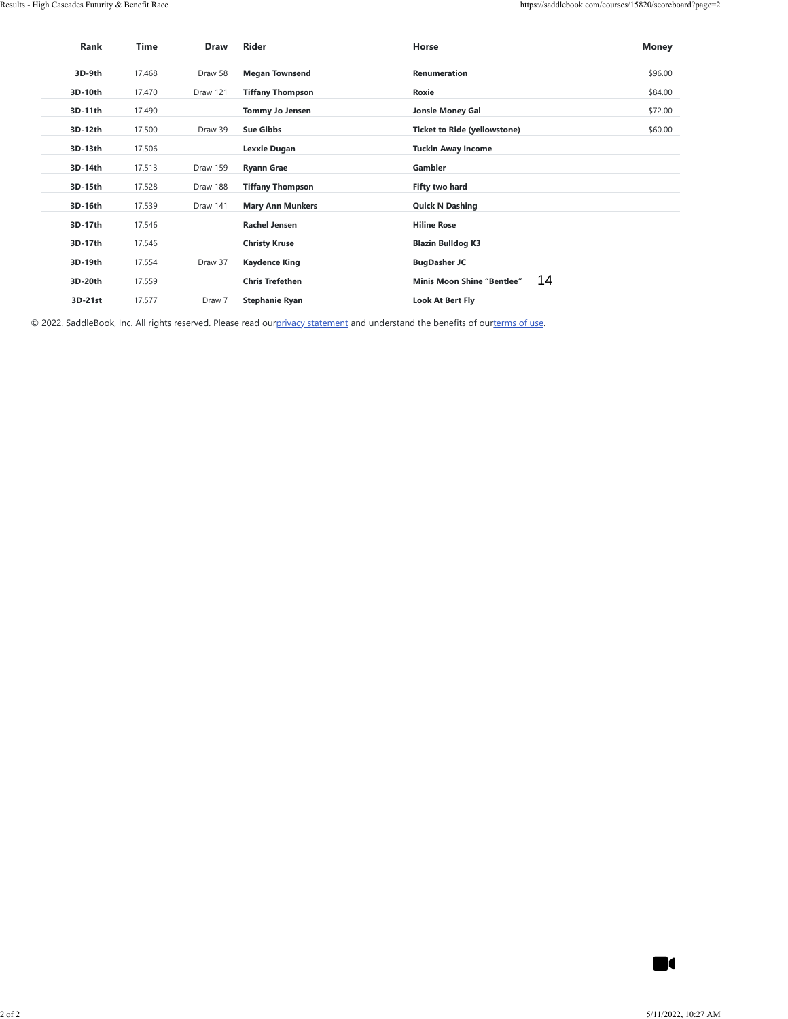| 3D-9th  |        |          |                         |                                         |                |
|---------|--------|----------|-------------------------|-----------------------------------------|----------------|
|         | 17.468 | Draw 58  | <b>Megan Townsend</b>   | Renumeration                            | \$96.00        |
| 3D-10th | 17.470 | Draw 121 | <b>Tiffany Thompson</b> | Roxie                                   | \$84.00        |
| 3D-11th | 17.490 |          | <b>Tommy Jo Jensen</b>  | <b>Jonsie Money Gal</b>                 | \$72.00        |
| 3D-12th | 17.500 | Draw 39  | <b>Sue Gibbs</b>        | <b>Ticket to Ride (yellowstone)</b>     | \$60.00        |
| 3D-13th | 17.506 |          | <b>Lexxie Dugan</b>     | <b>Tuckin Away Income</b>               |                |
| 3D-14th | 17.513 | Draw 159 | <b>Ryann Grae</b>       | Gambler                                 |                |
| 3D-15th | 17.528 | Draw 188 | <b>Tiffany Thompson</b> | Fifty two hard                          |                |
| 3D-16th | 17.539 | Draw 141 | <b>Mary Ann Munkers</b> | <b>Quick N Dashing</b>                  |                |
| 3D-17th | 17.546 |          | <b>Rachel Jensen</b>    | <b>Hiline Rose</b>                      |                |
| 3D-17th | 17.546 |          | <b>Christy Kruse</b>    | <b>Blazin Bulldog K3</b>                |                |
| 3D-19th | 17.554 | Draw 37  | <b>Kaydence King</b>    | <b>BugDasher JC</b>                     |                |
| 3D-20th | 17.559 |          | <b>Chris Trefethen</b>  | 14<br><b>Minis Moon Shine "Bentlee"</b> |                |
| 3D-21st | 17.577 | Draw 7   | <b>Stephanie Ryan</b>   | <b>Look At Bert Fly</b>                 |                |
|         |        |          |                         |                                         |                |
|         |        |          |                         |                                         |                |
|         |        |          |                         |                                         |                |
|         |        |          |                         |                                         |                |
|         |        |          |                         |                                         |                |
|         |        |          |                         |                                         |                |
|         |        |          |                         |                                         |                |
|         |        |          |                         |                                         |                |
|         |        |          |                         |                                         |                |
|         |        |          |                         |                                         |                |
|         |        |          |                         |                                         |                |
|         |        |          |                         |                                         |                |
|         |        |          |                         |                                         |                |
|         |        |          |                         |                                         |                |
|         |        |          |                         |                                         |                |
|         |        |          |                         |                                         |                |
|         |        |          |                         |                                         |                |
|         |        |          |                         |                                         |                |
|         |        |          |                         |                                         |                |
|         |        |          |                         |                                         |                |
|         |        |          |                         |                                         |                |
|         |        |          |                         |                                         |                |
|         |        |          |                         |                                         |                |
|         |        |          |                         |                                         |                |
|         |        |          |                         |                                         |                |
|         |        |          |                         |                                         |                |
|         |        |          |                         |                                         |                |
|         |        |          |                         |                                         |                |
|         |        |          |                         |                                         |                |
|         |        |          |                         |                                         | $\blacksquare$ |

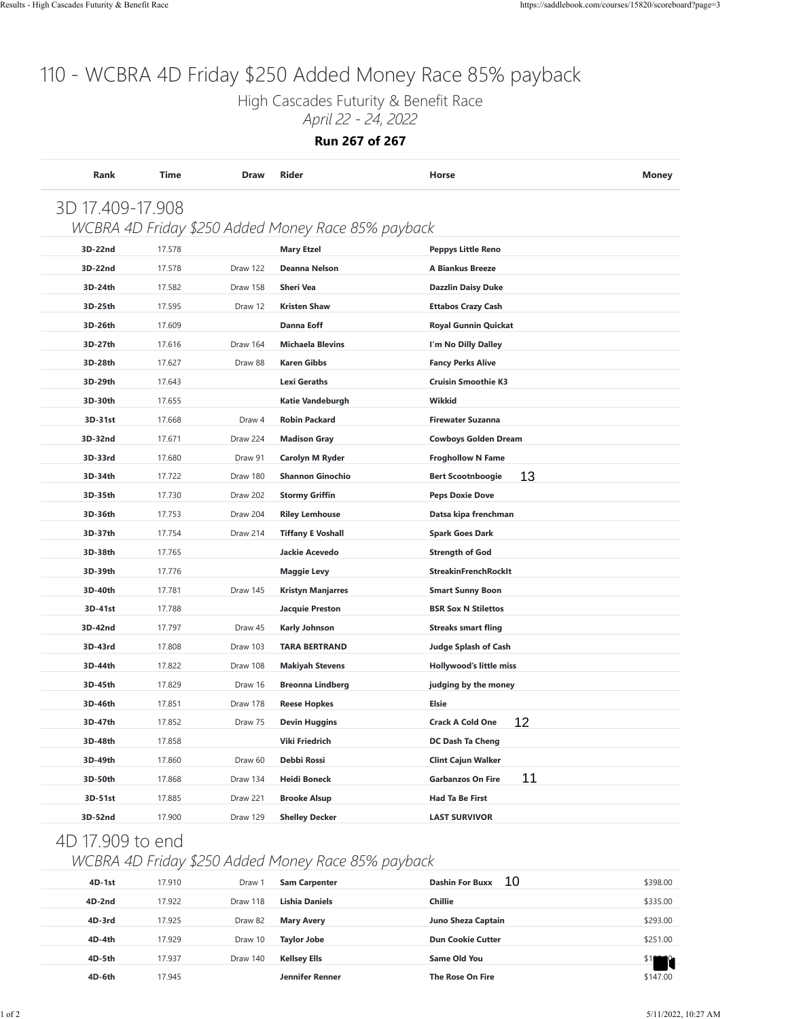High Cascades Futurity & Benefit Race

*April 22 - 24, 2022*

**Run 267 of 267**

| 3D 17.409-17.908 |        |          |                                                    |                                |          |
|------------------|--------|----------|----------------------------------------------------|--------------------------------|----------|
|                  |        |          | WCBRA 4D Friday \$250 Added Money Race 85% payback |                                |          |
| 3D-22nd          | 17.578 |          | <b>Mary Etzel</b>                                  | <b>Peppys Little Reno</b>      |          |
| 3D-22nd          | 17.578 | Draw 122 | Deanna Nelson                                      | A Biankus Breeze               |          |
| 3D-24th          | 17.582 | Draw 158 | Sheri Vea                                          | <b>Dazzlin Daisy Duke</b>      |          |
| 3D-25th          | 17.595 | Draw 12  | <b>Kristen Shaw</b>                                | <b>Ettabos Crazy Cash</b>      |          |
| 3D-26th          | 17.609 |          | <b>Danna Eoff</b>                                  | Royal Gunnin Quickat           |          |
| 3D-27th          | 17.616 | Draw 164 | <b>Michaela Blevins</b>                            | I'm No Dilly Dalley            |          |
| 3D-28th          | 17.627 | Draw 88  | <b>Karen Gibbs</b>                                 | <b>Fancy Perks Alive</b>       |          |
| 3D-29th          | 17.643 |          | <b>Lexi Geraths</b>                                | <b>Cruisin Smoothie K3</b>     |          |
| 3D-30th          | 17.655 |          | Katie Vandeburgh                                   | Wikkid                         |          |
| 3D-31st          | 17.668 | Draw 4   | <b>Robin Packard</b>                               | <b>Firewater Suzanna</b>       |          |
| 3D-32nd          | 17.671 | Draw 224 | <b>Madison Gray</b>                                | <b>Cowboys Golden Dream</b>    |          |
| 3D-33rd          | 17.680 | Draw 91  | Carolyn M Ryder                                    | <b>Froghollow N Fame</b>       |          |
| 3D-34th          | 17.722 | Draw 180 | <b>Shannon Ginochio</b>                            | 13<br><b>Bert Scootnboogie</b> |          |
| 3D-35th          | 17.730 | Draw 202 | <b>Stormy Griffin</b>                              | <b>Peps Doxie Dove</b>         |          |
| 3D-36th          | 17.753 | Draw 204 | <b>Riley Lemhouse</b>                              | Datsa kipa frenchman           |          |
| 3D-37th          | 17.754 | Draw 214 | <b>Tiffany E Voshall</b>                           | <b>Spark Goes Dark</b>         |          |
| 3D-38th          | 17.765 |          | Jackie Acevedo                                     | <b>Strength of God</b>         |          |
| 3D-39th          | 17.776 |          | <b>Maggie Levy</b>                                 | <b>StreakinFrenchRockIt</b>    |          |
| 3D-40th          | 17.781 | Draw 145 | <b>Kristyn Manjarres</b>                           | <b>Smart Sunny Boon</b>        |          |
| 3D-41st          | 17.788 |          | <b>Jacquie Preston</b>                             | <b>BSR Sox N Stilettos</b>     |          |
| 3D-42nd          | 17.797 | Draw 45  | <b>Karly Johnson</b>                               | <b>Streaks smart fling</b>     |          |
| 3D-43rd          | 17.808 | Draw 103 | <b>TARA BERTRAND</b>                               | <b>Judge Splash of Cash</b>    |          |
| 3D-44th          | 17.822 | Draw 108 | <b>Makiyah Stevens</b>                             | Hollywood's little miss        |          |
| 3D-45th          | 17.829 | Draw 16  | <b>Breonna Lindberg</b>                            | judging by the money           |          |
| 3D-46th          | 17.851 | Draw 178 | <b>Reese Hopkes</b>                                | Elsie                          |          |
| 3D-47th          | 17.852 | Draw 75  | <b>Devin Huggins</b>                               | 12<br><b>Crack A Cold One</b>  |          |
| 3D-48th          | 17.858 |          | Viki Friedrich                                     | DC Dash Ta Cheng               |          |
| 3D-49th          | 17.860 | Draw 60  | Debbi Rossi                                        | <b>Clint Cajun Walker</b>      |          |
| 3D-50th          | 17.868 | Draw 134 | <b>Heidi Boneck</b>                                | 11<br><b>Garbanzos On Fire</b> |          |
| 3D-51st          | 17.885 | Draw 221 | <b>Brooke Alsup</b>                                | <b>Had Ta Be First</b>         |          |
| 3D-52nd          | 17.900 | Draw 129 | <b>Shelley Decker</b>                              | <b>LAST SURVIVOR</b>           |          |
| 4D 17.909 to end |        |          |                                                    |                                |          |
|                  |        |          | WCBRA 4D Friday \$250 Added Money Race 85% payback |                                |          |
| 4D-1st           | 17.910 | Draw 1   | <b>Sam Carpenter</b>                               | 10<br><b>Dashin For Buxx</b>   | \$398.00 |
| 4D-2nd           | 17.922 | Draw 118 | <b>Lishia Daniels</b>                              | Chillie                        | \$335.00 |
| 4D-3rd           | 17.925 | Draw 82  | <b>Mary Avery</b>                                  | Juno Sheza Captain             | \$293.00 |
| 4D-4th           | 17.929 | Draw 10  | <b>Taylor Jobe</b>                                 | <b>Dun Cookie Cutter</b>       | \$251.00 |
| 4D-5th           | 17.937 | Draw 140 | Kellsey Ells                                       | <b>Same Old You</b>            | \$1      |
| 4D-6th           | 17.945 |          | Jennifer Renner                                    | The Rose On Fire               | \$147.00 |

### 4D 17.909 to end

#### *WCBRA 4D Friday \$250 Added Money Race 85% payback*

| $4D-1st$ | 17.910 | Draw <sup>1</sup> | <b>Sam Carpenter</b>   | 10<br><b>Dashin For Buxx</b> | \$398.00 |
|----------|--------|-------------------|------------------------|------------------------------|----------|
| $4D-2nd$ | 17.922 | Draw 118          | Lishia Daniels         | <b>Chillie</b>               | \$335.00 |
| 4D-3rd   | 17.925 | Draw 82           | <b>Mary Avery</b>      | Juno Sheza Captain           | \$293.00 |
| 4D-4th   | 17.929 | Draw 10           | <b>Taylor Jobe</b>     | <b>Dun Cookie Cutter</b>     | \$251.00 |
| 4D-5th   | 17.937 | Draw 140          | <b>Kellsey Ells</b>    | Same Old You                 |          |
| 4D-6th   | 17.945 |                   | <b>Jennifer Renner</b> | The Rose On Fire             | \$147.00 |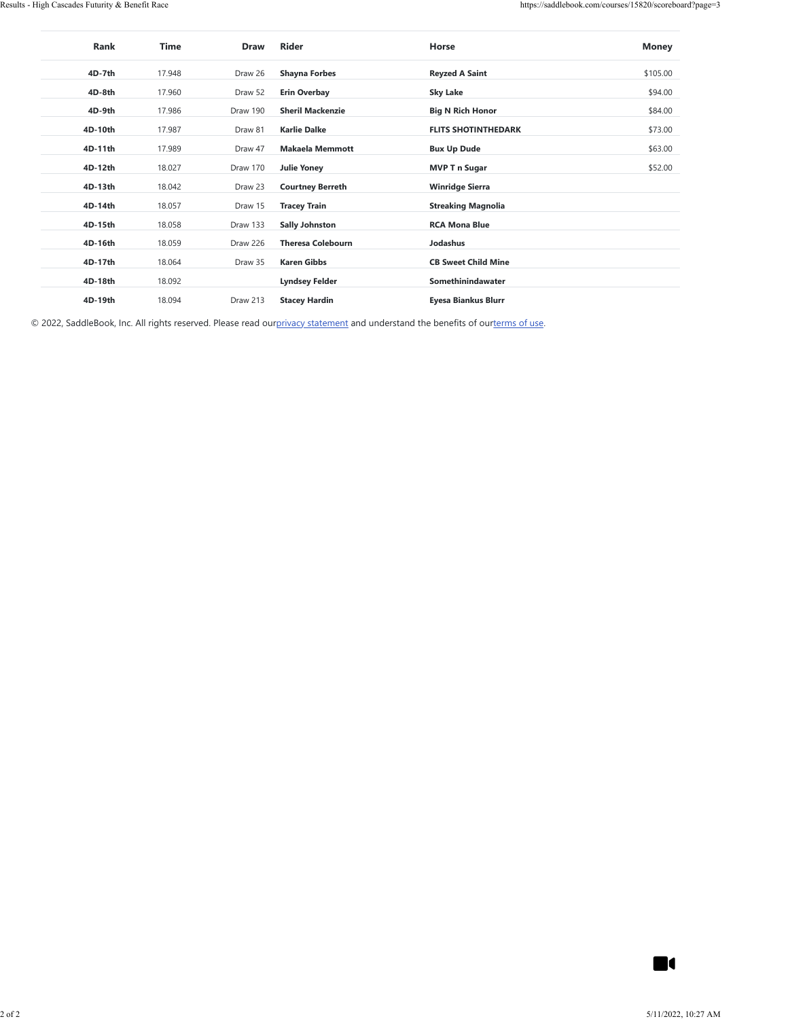| Rank    | Time   | <b>Draw</b> | <b>Rider</b>             | Horse                      | <b>Money</b> |
|---------|--------|-------------|--------------------------|----------------------------|--------------|
| 4D-7th  | 17.948 | Draw 26     | <b>Shayna Forbes</b>     | <b>Reyzed A Saint</b>      | \$105.00     |
| 4D-8th  | 17.960 | Draw 52     | <b>Erin Overbay</b>      | <b>Sky Lake</b>            | \$94.00      |
| 4D-9th  | 17.986 | Draw 190    | <b>Sheril Mackenzie</b>  | <b>Big N Rich Honor</b>    | \$84.00      |
| 4D-10th | 17.987 | Draw 81     | <b>Karlie Dalke</b>      | <b>FLITS SHOTINTHEDARK</b> | \$73.00      |
| 4D-11th | 17.989 | Draw 47     | <b>Makaela Memmott</b>   | <b>Bux Up Dude</b>         | \$63.00      |
| 4D-12th | 18.027 | Draw 170    | <b>Julie Yoney</b>       | <b>MVP T n Sugar</b>       | \$52.00      |
| 4D-13th | 18.042 | Draw 23     | <b>Courtney Berreth</b>  | <b>Winridge Sierra</b>     |              |
| 4D-14th | 18.057 | Draw 15     | <b>Tracey Train</b>      | <b>Streaking Magnolia</b>  |              |
| 4D-15th | 18.058 | Draw 133    | <b>Sally Johnston</b>    | <b>RCA Mona Blue</b>       |              |
| 4D-16th | 18.059 | Draw 226    | <b>Theresa Colebourn</b> | Jodashus                   |              |
| 4D-17th | 18.064 | Draw 35     | <b>Karen Gibbs</b>       | <b>CB Sweet Child Mine</b> |              |
| 4D-18th | 18.092 |             | <b>Lyndsey Felder</b>    | Somethinindawater          |              |
| 4D-19th | 18.094 | Draw 213    | <b>Stacey Hardin</b>     | Eyesa Biankus Blurr        |              |

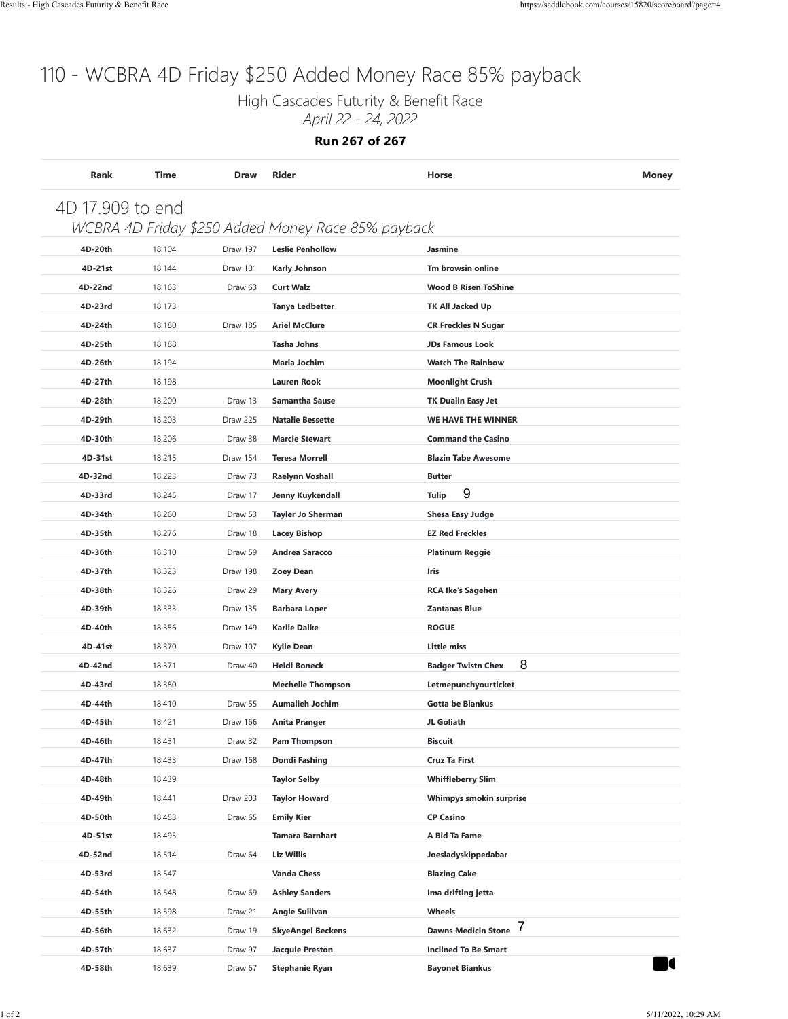High Cascades Futurity & Benefit Race

*April 22 - 24, 2022*

**Run 267 of 267**

|         |        |          | WCBRA 4D Friday \$250 Added Money Race 85% payback |                                 |  |
|---------|--------|----------|----------------------------------------------------|---------------------------------|--|
| 4D-20th | 18.104 | Draw 197 | <b>Leslie Penhollow</b>                            | Jasmine                         |  |
| 4D-21st | 18.144 | Draw 101 | <b>Karly Johnson</b>                               | Tm browsin online               |  |
| 4D-22nd | 18.163 | Draw 63  | <b>Curt Walz</b>                                   | <b>Wood B Risen ToShine</b>     |  |
| 4D-23rd | 18.173 |          | <b>Tanya Ledbetter</b>                             | TK All Jacked Up                |  |
| 4D-24th | 18.180 | Draw 185 | <b>Ariel McClure</b>                               | <b>CR Freckles N Sugar</b>      |  |
| 4D-25th | 18.188 |          | <b>Tasha Johns</b>                                 | <b>JDs Famous Look</b>          |  |
| 4D-26th | 18.194 |          | <b>Marla Jochim</b>                                | <b>Watch The Rainbow</b>        |  |
| 4D-27th | 18.198 |          | <b>Lauren Rook</b>                                 | <b>Moonlight Crush</b>          |  |
| 4D-28th | 18.200 | Draw 13  | <b>Samantha Sause</b>                              | TK Dualin Easy Jet              |  |
| 4D-29th | 18.203 | Draw 225 | <b>Natalie Bessette</b>                            | WE HAVE THE WINNER              |  |
| 4D-30th | 18.206 | Draw 38  | <b>Marcie Stewart</b>                              | <b>Command the Casino</b>       |  |
| 4D-31st | 18.215 | Draw 154 | <b>Teresa Morrell</b>                              | <b>Blazin Tabe Awesome</b>      |  |
| 4D-32nd | 18.223 | Draw 73  | Raelynn Voshall                                    | <b>Butter</b>                   |  |
| 4D-33rd | 18.245 | Draw 17  | Jenny Kuykendall                                   | 9<br><b>Tulip</b>               |  |
| 4D-34th | 18.260 | Draw 53  | <b>Tayler Jo Sherman</b>                           | <b>Shesa Easy Judge</b>         |  |
| 4D-35th | 18.276 | Draw 18  | <b>Lacey Bishop</b>                                | <b>EZ Red Freckles</b>          |  |
| 4D-36th | 18.310 | Draw 59  | Andrea Saracco                                     | <b>Platinum Reggie</b>          |  |
| 4D-37th | 18.323 | Draw 198 | <b>Zoey Dean</b>                                   | Iris                            |  |
| 4D-38th | 18.326 | Draw 29  | <b>Mary Avery</b>                                  | <b>RCA Ike's Sagehen</b>        |  |
| 4D-39th | 18.333 | Draw 135 | <b>Barbara Loper</b>                               | <b>Zantanas Blue</b>            |  |
| 4D-40th | 18.356 | Draw 149 | <b>Karlie Dalke</b>                                | <b>ROGUE</b>                    |  |
| 4D-41st | 18.370 | Draw 107 | <b>Kylie Dean</b>                                  | <b>Little miss</b>              |  |
| 4D-42nd | 18.371 | Draw 40  | <b>Heidi Boneck</b>                                | 8<br><b>Badger Twistn Chex</b>  |  |
| 4D-43rd | 18.380 |          | <b>Mechelle Thompson</b>                           | Letmepunchyourticket            |  |
| 4D-44th | 18.410 | Draw 55  | <b>Aumalieh Jochim</b>                             | Gotta be Biankus                |  |
| 4D-45th | 18.421 | Draw 166 | <b>Anita Pranger</b>                               | JL Goliath                      |  |
| 4D-46th | 18.431 | Draw 32  | Pam Thompson                                       | <b>Biscuit</b>                  |  |
| 4D-47th | 18.433 | Draw 168 | Dondi Fashing                                      | <b>Cruz Ta First</b>            |  |
| 4D-48th | 18.439 |          | <b>Taylor Selby</b>                                | <b>Whiffleberry Slim</b>        |  |
| 4D-49th | 18.441 | Draw 203 | <b>Taylor Howard</b>                               | Whimpys smokin surprise         |  |
| 4D-50th | 18.453 | Draw 65  | <b>Emily Kier</b>                                  | <b>CP Casino</b>                |  |
| 4D-51st | 18.493 |          | <b>Tamara Barnhart</b>                             | A Bid Ta Fame                   |  |
| 4D-52nd | 18.514 | Draw 64  | <b>Liz Willis</b>                                  | Joesladyskippedabar             |  |
| 4D-53rd | 18.547 |          | <b>Vanda Chess</b>                                 | <b>Blazing Cake</b>             |  |
| 4D-54th | 18.548 | Draw 69  | <b>Ashley Sanders</b>                              | Ima drifting jetta              |  |
| 4D-55th | 18.598 | Draw 21  | <b>Angie Sullivan</b>                              | Wheels                          |  |
| 4D-56th | 18.632 | Draw 19  | <b>SkyeAngel Beckens</b>                           | 7<br><b>Dawns Medicin Stone</b> |  |
| 4D-57th | 18.637 | Draw 97  | <b>Jacquie Preston</b>                             | <b>Inclined To Be Smart</b>     |  |
| 4D-58th | 18.639 | Draw 67  | <b>Stephanie Ryan</b>                              | <b>Bayonet Biankus</b>          |  |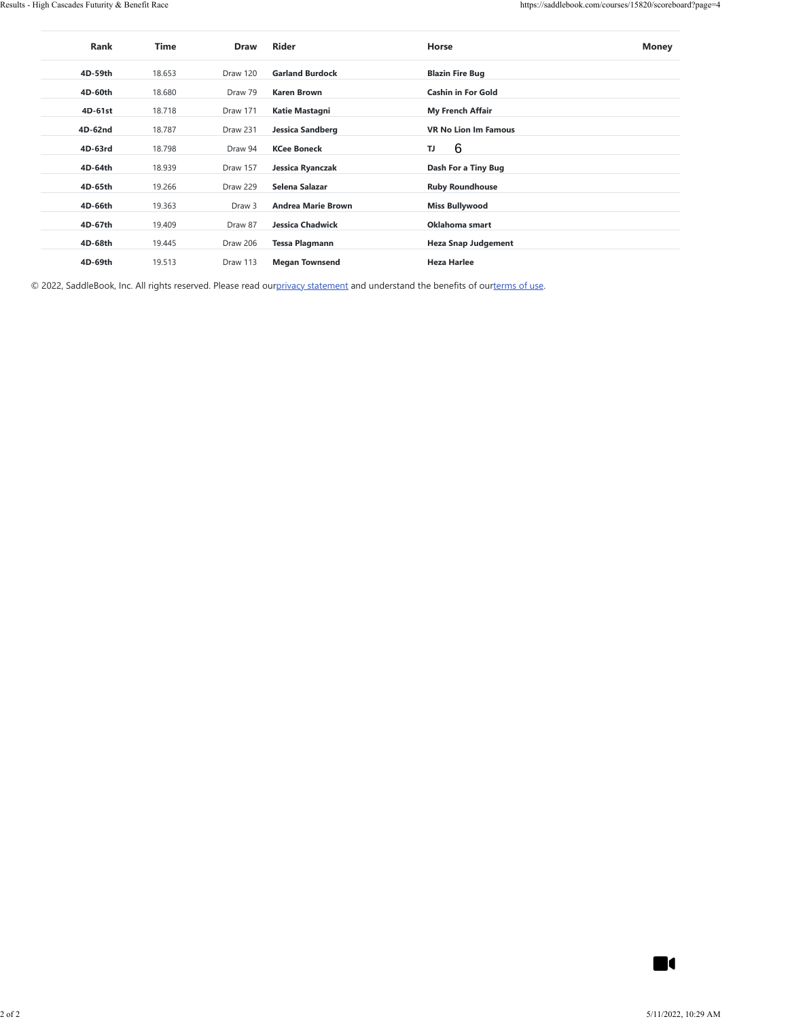| 4D-59th<br>4D-60th<br>4D-61st | 18.653 |          |                           |                               |  |
|-------------------------------|--------|----------|---------------------------|-------------------------------|--|
|                               |        | Draw 120 | <b>Garland Burdock</b>    | <b>Blazin Fire Bug</b>        |  |
|                               | 18.680 | Draw 79  | <b>Karen Brown</b>        | Cashin in For Gold            |  |
|                               | 18.718 | Draw 171 | Katie Mastagni            | My French Affair              |  |
| 4D-62nd                       | 18.787 | Draw 231 | <b>Jessica Sandberg</b>   | <b>VR No Lion Im Famous</b>   |  |
| 4D-63rd                       | 18.798 | Draw 94  | <b>KCee Boneck</b>        | $\,6$<br>$\mathsf T\mathsf J$ |  |
| 4D-64th                       | 18.939 | Draw 157 | Jessica Ryanczak          | Dash For a Tiny Bug           |  |
| 4D-65th                       | 19.266 | Draw 229 | Selena Salazar            | <b>Ruby Roundhouse</b>        |  |
| 4D-66th                       | 19.363 | Draw 3   | <b>Andrea Marie Brown</b> | <b>Miss Bullywood</b>         |  |
| 4D-67th                       | 19.409 | Draw 87  | <b>Jessica Chadwick</b>   | Oklahoma smart                |  |
| 4D-68th                       | 19.445 | Draw 206 | <b>Tessa Plagmann</b>     | <b>Heza Snap Judgement</b>    |  |
| 4D-69th                       | 19.513 | Draw 113 | <b>Megan Townsend</b>     | <b>Heza Harlee</b>            |  |
|                               |        |          |                           |                               |  |
|                               |        |          |                           |                               |  |
|                               |        |          |                           |                               |  |
|                               |        |          |                           |                               |  |
|                               |        |          |                           |                               |  |
|                               |        |          |                           |                               |  |
|                               |        |          |                           |                               |  |
|                               |        |          |                           |                               |  |

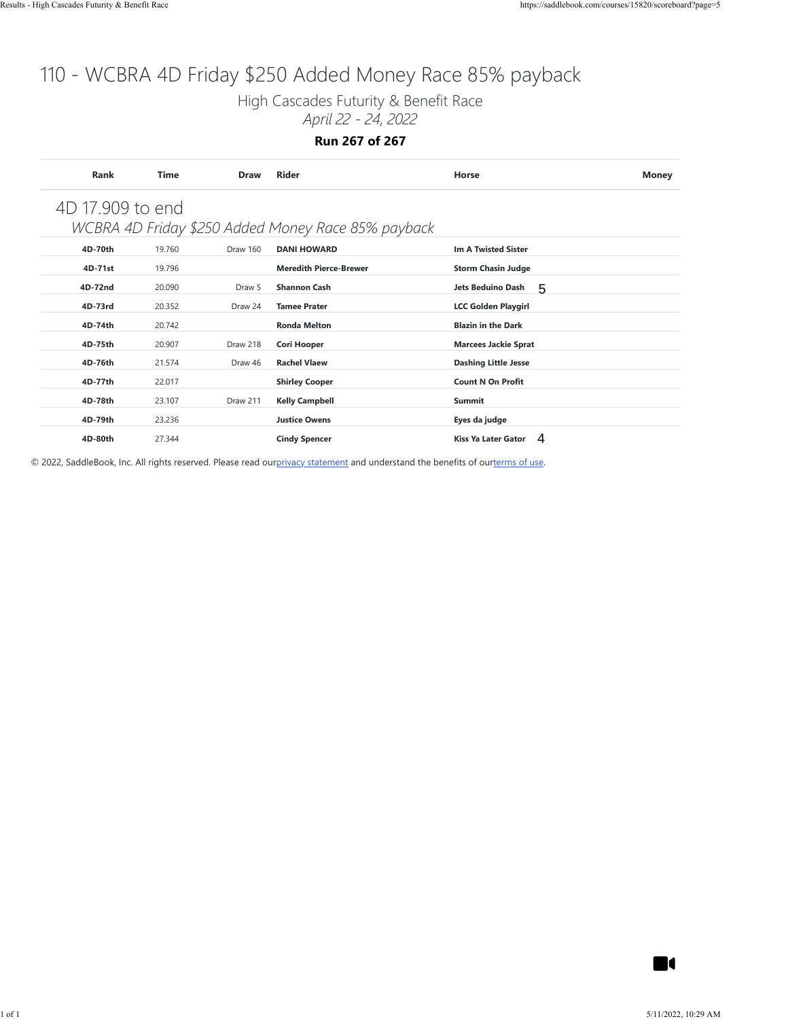High Cascades Futurity & Benefit Race

*April 22 - 24, 2022*

**Run 267 of 267**

| 4D 17.909 to end<br>WCBRA 4D Friday \$250 Added Money Race 85% payback<br>4D-70th<br>19.760<br>Draw 160<br><b>DANI HOWARD</b><br><b>Im A Twisted Sister</b><br>4D-71st<br>19.796<br><b>Meredith Pierce-Brewer</b><br><b>Storm Chasin Judge</b><br>4D-72nd<br>20.090<br>Draw 5<br><b>Shannon Cash</b><br>Jets Beduino Dash<br>5<br>4D-73rd<br>20.352<br>Draw 24<br><b>Tamee Prater</b><br><b>LCC Golden Playgirl</b><br>4D-74th<br>20.742<br><b>Ronda Melton</b><br><b>Blazin in the Dark</b><br>4D-75th<br>20.907<br>Draw 218<br><b>Cori Hooper</b><br><b>Marcees Jackie Sprat</b><br>4D-76th<br><b>Rachel Vlaew</b><br>21.574<br>Draw 46<br><b>Dashing Little Jesse</b><br>4D-77th<br>22.017<br><b>Shirley Cooper</b><br><b>Count N On Profit</b><br>4D-78th<br>23.107<br>Draw 211<br><b>Kelly Campbell</b><br>Summit<br>4D-79th<br>23.236<br><b>Justice Owens</b><br>Eyes da judge<br>Kiss Ya Later Gator 4<br>4D-80th<br>27.344<br><b>Cindy Spencer</b><br>© 2022, SaddleBook, Inc. All rights reserved. Please read ourprivacy statement and understand the benefits of ourterms of use.<br><b>K</b> |  |  |  |
|----------------------------------------------------------------------------------------------------------------------------------------------------------------------------------------------------------------------------------------------------------------------------------------------------------------------------------------------------------------------------------------------------------------------------------------------------------------------------------------------------------------------------------------------------------------------------------------------------------------------------------------------------------------------------------------------------------------------------------------------------------------------------------------------------------------------------------------------------------------------------------------------------------------------------------------------------------------------------------------------------------------------------------------------------------------------------------------------------------|--|--|--|
|                                                                                                                                                                                                                                                                                                                                                                                                                                                                                                                                                                                                                                                                                                                                                                                                                                                                                                                                                                                                                                                                                                          |  |  |  |
|                                                                                                                                                                                                                                                                                                                                                                                                                                                                                                                                                                                                                                                                                                                                                                                                                                                                                                                                                                                                                                                                                                          |  |  |  |
|                                                                                                                                                                                                                                                                                                                                                                                                                                                                                                                                                                                                                                                                                                                                                                                                                                                                                                                                                                                                                                                                                                          |  |  |  |
|                                                                                                                                                                                                                                                                                                                                                                                                                                                                                                                                                                                                                                                                                                                                                                                                                                                                                                                                                                                                                                                                                                          |  |  |  |
|                                                                                                                                                                                                                                                                                                                                                                                                                                                                                                                                                                                                                                                                                                                                                                                                                                                                                                                                                                                                                                                                                                          |  |  |  |
|                                                                                                                                                                                                                                                                                                                                                                                                                                                                                                                                                                                                                                                                                                                                                                                                                                                                                                                                                                                                                                                                                                          |  |  |  |
|                                                                                                                                                                                                                                                                                                                                                                                                                                                                                                                                                                                                                                                                                                                                                                                                                                                                                                                                                                                                                                                                                                          |  |  |  |
|                                                                                                                                                                                                                                                                                                                                                                                                                                                                                                                                                                                                                                                                                                                                                                                                                                                                                                                                                                                                                                                                                                          |  |  |  |
|                                                                                                                                                                                                                                                                                                                                                                                                                                                                                                                                                                                                                                                                                                                                                                                                                                                                                                                                                                                                                                                                                                          |  |  |  |
|                                                                                                                                                                                                                                                                                                                                                                                                                                                                                                                                                                                                                                                                                                                                                                                                                                                                                                                                                                                                                                                                                                          |  |  |  |
|                                                                                                                                                                                                                                                                                                                                                                                                                                                                                                                                                                                                                                                                                                                                                                                                                                                                                                                                                                                                                                                                                                          |  |  |  |
|                                                                                                                                                                                                                                                                                                                                                                                                                                                                                                                                                                                                                                                                                                                                                                                                                                                                                                                                                                                                                                                                                                          |  |  |  |
|                                                                                                                                                                                                                                                                                                                                                                                                                                                                                                                                                                                                                                                                                                                                                                                                                                                                                                                                                                                                                                                                                                          |  |  |  |
|                                                                                                                                                                                                                                                                                                                                                                                                                                                                                                                                                                                                                                                                                                                                                                                                                                                                                                                                                                                                                                                                                                          |  |  |  |
|                                                                                                                                                                                                                                                                                                                                                                                                                                                                                                                                                                                                                                                                                                                                                                                                                                                                                                                                                                                                                                                                                                          |  |  |  |
|                                                                                                                                                                                                                                                                                                                                                                                                                                                                                                                                                                                                                                                                                                                                                                                                                                                                                                                                                                                                                                                                                                          |  |  |  |
|                                                                                                                                                                                                                                                                                                                                                                                                                                                                                                                                                                                                                                                                                                                                                                                                                                                                                                                                                                                                                                                                                                          |  |  |  |
|                                                                                                                                                                                                                                                                                                                                                                                                                                                                                                                                                                                                                                                                                                                                                                                                                                                                                                                                                                                                                                                                                                          |  |  |  |
|                                                                                                                                                                                                                                                                                                                                                                                                                                                                                                                                                                                                                                                                                                                                                                                                                                                                                                                                                                                                                                                                                                          |  |  |  |
|                                                                                                                                                                                                                                                                                                                                                                                                                                                                                                                                                                                                                                                                                                                                                                                                                                                                                                                                                                                                                                                                                                          |  |  |  |
|                                                                                                                                                                                                                                                                                                                                                                                                                                                                                                                                                                                                                                                                                                                                                                                                                                                                                                                                                                                                                                                                                                          |  |  |  |
|                                                                                                                                                                                                                                                                                                                                                                                                                                                                                                                                                                                                                                                                                                                                                                                                                                                                                                                                                                                                                                                                                                          |  |  |  |
|                                                                                                                                                                                                                                                                                                                                                                                                                                                                                                                                                                                                                                                                                                                                                                                                                                                                                                                                                                                                                                                                                                          |  |  |  |
|                                                                                                                                                                                                                                                                                                                                                                                                                                                                                                                                                                                                                                                                                                                                                                                                                                                                                                                                                                                                                                                                                                          |  |  |  |
|                                                                                                                                                                                                                                                                                                                                                                                                                                                                                                                                                                                                                                                                                                                                                                                                                                                                                                                                                                                                                                                                                                          |  |  |  |
|                                                                                                                                                                                                                                                                                                                                                                                                                                                                                                                                                                                                                                                                                                                                                                                                                                                                                                                                                                                                                                                                                                          |  |  |  |
|                                                                                                                                                                                                                                                                                                                                                                                                                                                                                                                                                                                                                                                                                                                                                                                                                                                                                                                                                                                                                                                                                                          |  |  |  |
|                                                                                                                                                                                                                                                                                                                                                                                                                                                                                                                                                                                                                                                                                                                                                                                                                                                                                                                                                                                                                                                                                                          |  |  |  |
|                                                                                                                                                                                                                                                                                                                                                                                                                                                                                                                                                                                                                                                                                                                                                                                                                                                                                                                                                                                                                                                                                                          |  |  |  |
|                                                                                                                                                                                                                                                                                                                                                                                                                                                                                                                                                                                                                                                                                                                                                                                                                                                                                                                                                                                                                                                                                                          |  |  |  |
|                                                                                                                                                                                                                                                                                                                                                                                                                                                                                                                                                                                                                                                                                                                                                                                                                                                                                                                                                                                                                                                                                                          |  |  |  |
|                                                                                                                                                                                                                                                                                                                                                                                                                                                                                                                                                                                                                                                                                                                                                                                                                                                                                                                                                                                                                                                                                                          |  |  |  |
|                                                                                                                                                                                                                                                                                                                                                                                                                                                                                                                                                                                                                                                                                                                                                                                                                                                                                                                                                                                                                                                                                                          |  |  |  |
|                                                                                                                                                                                                                                                                                                                                                                                                                                                                                                                                                                                                                                                                                                                                                                                                                                                                                                                                                                                                                                                                                                          |  |  |  |
|                                                                                                                                                                                                                                                                                                                                                                                                                                                                                                                                                                                                                                                                                                                                                                                                                                                                                                                                                                                                                                                                                                          |  |  |  |
|                                                                                                                                                                                                                                                                                                                                                                                                                                                                                                                                                                                                                                                                                                                                                                                                                                                                                                                                                                                                                                                                                                          |  |  |  |
|                                                                                                                                                                                                                                                                                                                                                                                                                                                                                                                                                                                                                                                                                                                                                                                                                                                                                                                                                                                                                                                                                                          |  |  |  |
|                                                                                                                                                                                                                                                                                                                                                                                                                                                                                                                                                                                                                                                                                                                                                                                                                                                                                                                                                                                                                                                                                                          |  |  |  |
|                                                                                                                                                                                                                                                                                                                                                                                                                                                                                                                                                                                                                                                                                                                                                                                                                                                                                                                                                                                                                                                                                                          |  |  |  |
|                                                                                                                                                                                                                                                                                                                                                                                                                                                                                                                                                                                                                                                                                                                                                                                                                                                                                                                                                                                                                                                                                                          |  |  |  |
|                                                                                                                                                                                                                                                                                                                                                                                                                                                                                                                                                                                                                                                                                                                                                                                                                                                                                                                                                                                                                                                                                                          |  |  |  |
|                                                                                                                                                                                                                                                                                                                                                                                                                                                                                                                                                                                                                                                                                                                                                                                                                                                                                                                                                                                                                                                                                                          |  |  |  |
|                                                                                                                                                                                                                                                                                                                                                                                                                                                                                                                                                                                                                                                                                                                                                                                                                                                                                                                                                                                                                                                                                                          |  |  |  |
|                                                                                                                                                                                                                                                                                                                                                                                                                                                                                                                                                                                                                                                                                                                                                                                                                                                                                                                                                                                                                                                                                                          |  |  |  |
|                                                                                                                                                                                                                                                                                                                                                                                                                                                                                                                                                                                                                                                                                                                                                                                                                                                                                                                                                                                                                                                                                                          |  |  |  |
|                                                                                                                                                                                                                                                                                                                                                                                                                                                                                                                                                                                                                                                                                                                                                                                                                                                                                                                                                                                                                                                                                                          |  |  |  |
|                                                                                                                                                                                                                                                                                                                                                                                                                                                                                                                                                                                                                                                                                                                                                                                                                                                                                                                                                                                                                                                                                                          |  |  |  |
|                                                                                                                                                                                                                                                                                                                                                                                                                                                                                                                                                                                                                                                                                                                                                                                                                                                                                                                                                                                                                                                                                                          |  |  |  |
|                                                                                                                                                                                                                                                                                                                                                                                                                                                                                                                                                                                                                                                                                                                                                                                                                                                                                                                                                                                                                                                                                                          |  |  |  |
|                                                                                                                                                                                                                                                                                                                                                                                                                                                                                                                                                                                                                                                                                                                                                                                                                                                                                                                                                                                                                                                                                                          |  |  |  |
|                                                                                                                                                                                                                                                                                                                                                                                                                                                                                                                                                                                                                                                                                                                                                                                                                                                                                                                                                                                                                                                                                                          |  |  |  |
|                                                                                                                                                                                                                                                                                                                                                                                                                                                                                                                                                                                                                                                                                                                                                                                                                                                                                                                                                                                                                                                                                                          |  |  |  |
|                                                                                                                                                                                                                                                                                                                                                                                                                                                                                                                                                                                                                                                                                                                                                                                                                                                                                                                                                                                                                                                                                                          |  |  |  |
|                                                                                                                                                                                                                                                                                                                                                                                                                                                                                                                                                                                                                                                                                                                                                                                                                                                                                                                                                                                                                                                                                                          |  |  |  |
|                                                                                                                                                                                                                                                                                                                                                                                                                                                                                                                                                                                                                                                                                                                                                                                                                                                                                                                                                                                                                                                                                                          |  |  |  |
|                                                                                                                                                                                                                                                                                                                                                                                                                                                                                                                                                                                                                                                                                                                                                                                                                                                                                                                                                                                                                                                                                                          |  |  |  |
|                                                                                                                                                                                                                                                                                                                                                                                                                                                                                                                                                                                                                                                                                                                                                                                                                                                                                                                                                                                                                                                                                                          |  |  |  |
|                                                                                                                                                                                                                                                                                                                                                                                                                                                                                                                                                                                                                                                                                                                                                                                                                                                                                                                                                                                                                                                                                                          |  |  |  |
|                                                                                                                                                                                                                                                                                                                                                                                                                                                                                                                                                                                                                                                                                                                                                                                                                                                                                                                                                                                                                                                                                                          |  |  |  |
|                                                                                                                                                                                                                                                                                                                                                                                                                                                                                                                                                                                                                                                                                                                                                                                                                                                                                                                                                                                                                                                                                                          |  |  |  |
|                                                                                                                                                                                                                                                                                                                                                                                                                                                                                                                                                                                                                                                                                                                                                                                                                                                                                                                                                                                                                                                                                                          |  |  |  |
|                                                                                                                                                                                                                                                                                                                                                                                                                                                                                                                                                                                                                                                                                                                                                                                                                                                                                                                                                                                                                                                                                                          |  |  |  |
|                                                                                                                                                                                                                                                                                                                                                                                                                                                                                                                                                                                                                                                                                                                                                                                                                                                                                                                                                                                                                                                                                                          |  |  |  |
|                                                                                                                                                                                                                                                                                                                                                                                                                                                                                                                                                                                                                                                                                                                                                                                                                                                                                                                                                                                                                                                                                                          |  |  |  |
|                                                                                                                                                                                                                                                                                                                                                                                                                                                                                                                                                                                                                                                                                                                                                                                                                                                                                                                                                                                                                                                                                                          |  |  |  |
|                                                                                                                                                                                                                                                                                                                                                                                                                                                                                                                                                                                                                                                                                                                                                                                                                                                                                                                                                                                                                                                                                                          |  |  |  |
|                                                                                                                                                                                                                                                                                                                                                                                                                                                                                                                                                                                                                                                                                                                                                                                                                                                                                                                                                                                                                                                                                                          |  |  |  |
|                                                                                                                                                                                                                                                                                                                                                                                                                                                                                                                                                                                                                                                                                                                                                                                                                                                                                                                                                                                                                                                                                                          |  |  |  |

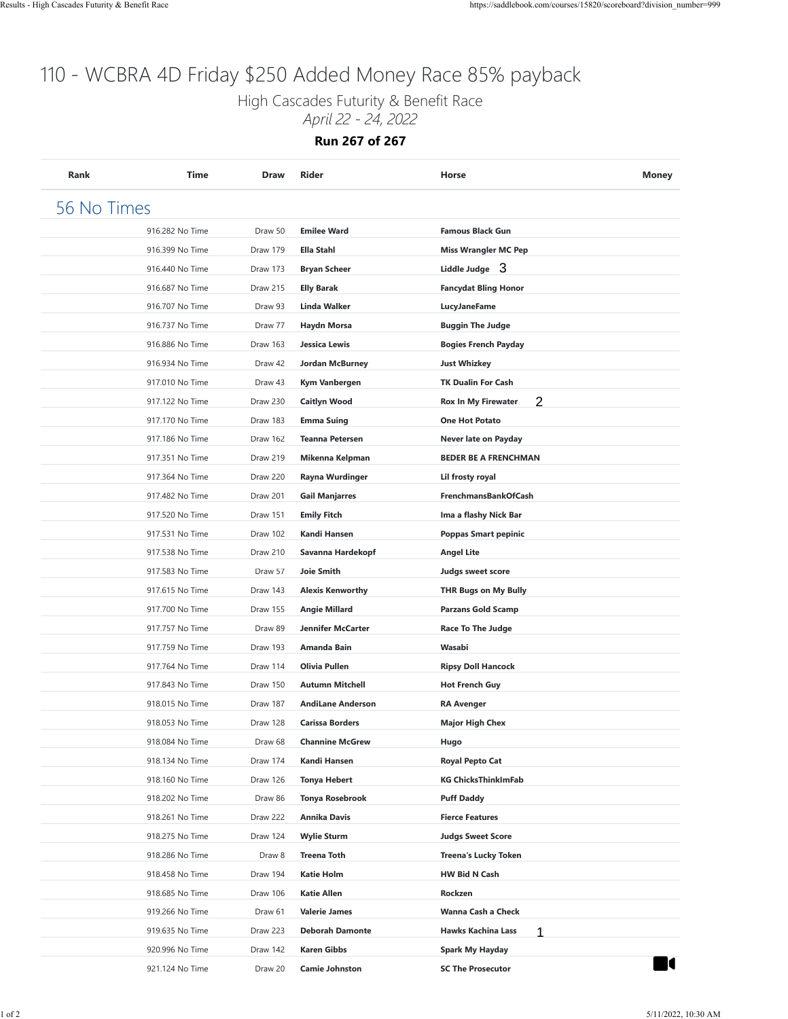High Cascades Futurity & Benefit Race

*April 22 - 24, 2022*

**Run 267 of 267**

| 916.282 No Time | Draw 50  | <b>Emilee Ward</b>       | <b>Famous Black Gun</b>         |  |
|-----------------|----------|--------------------------|---------------------------------|--|
| 916.399 No Time | Draw 179 | <b>Ella Stahl</b>        | <b>Miss Wrangler MC Pep</b>     |  |
| 916.440 No Time | Draw 173 | <b>Bryan Scheer</b>      | Liddle Judge 3                  |  |
| 916.687 No Time | Draw 215 | <b>Elly Barak</b>        | <b>Fancydat Bling Honor</b>     |  |
| 916.707 No Time | Draw 93  | <b>Linda Walker</b>      | <b>LucyJaneFame</b>             |  |
| 916.737 No Time | Draw 77  | <b>Haydn Morsa</b>       | <b>Buggin The Judge</b>         |  |
| 916.886 No Time | Draw 163 | Jessica Lewis            | <b>Bogies French Payday</b>     |  |
| 916.934 No Time | Draw 42  | Jordan McBurney          | <b>Just Whizkey</b>             |  |
| 917.010 No Time | Draw 43  | Kym Vanbergen            | <b>TK Dualin For Cash</b>       |  |
| 917.122 No Time | Draw 230 | <b>Caitlyn Wood</b>      | 2<br><b>Rox In My Firewater</b> |  |
| 917.170 No Time | Draw 183 | <b>Emma Suing</b>        | <b>One Hot Potato</b>           |  |
| 917.186 No Time | Draw 162 | <b>Teanna Petersen</b>   | Never late on Payday            |  |
| 917.351 No Time | Draw 219 | Mikenna Kelpman          | <b>BEDER BE A FRENCHMAN</b>     |  |
| 917.364 No Time | Draw 220 | Rayna Wurdinger          | Lil frosty royal                |  |
| 917.482 No Time | Draw 201 | <b>Gail Manjarres</b>    | <b>FrenchmansBankOfCash</b>     |  |
| 917.520 No Time | Draw 151 | <b>Emily Fitch</b>       | Ima a flashy Nick Bar           |  |
| 917.531 No Time | Draw 102 | Kandi Hansen             | <b>Poppas Smart pepinic</b>     |  |
| 917.538 No Time | Draw 210 | Savanna Hardekopf        | <b>Angel Lite</b>               |  |
| 917.583 No Time | Draw 57  | <b>Joie Smith</b>        | Judgs sweet score               |  |
| 917.615 No Time | Draw 143 | <b>Alexis Kenworthy</b>  | <b>THR Bugs on My Bully</b>     |  |
| 917.700 No Time | Draw 155 | <b>Angie Millard</b>     | <b>Parzans Gold Scamp</b>       |  |
| 917.757 No Time | Draw 89  | <b>Jennifer McCarter</b> | Race To The Judge               |  |
| 917.759 No Time | Draw 193 | Amanda Bain              | Wasabi                          |  |
| 917.764 No Time | Draw 114 | Olivia Pullen            | <b>Ripsy Doll Hancock</b>       |  |
| 917.843 No Time | Draw 150 | <b>Autumn Mitchell</b>   | <b>Hot French Guy</b>           |  |
| 918.015 No Time | Draw 187 | <b>AndiLane Anderson</b> | <b>RA Avenger</b>               |  |
| 918.053 No Time | Draw 128 | <b>Carissa Borders</b>   | <b>Major High Chex</b>          |  |
| 918.084 No Time | Draw 68  | <b>Channine McGrew</b>   | Hugo                            |  |
| 918.134 No Time | Draw 174 | Kandi Hansen             | <b>Royal Pepto Cat</b>          |  |
| 918.160 No Time | Draw 126 | <b>Tonya Hebert</b>      | <b>KG ChicksThinkImFab</b>      |  |
| 918.202 No Time | Draw 86  | <b>Tonya Rosebrook</b>   | <b>Puff Daddy</b>               |  |
| 918.261 No Time | Draw 222 | <b>Annika Davis</b>      | <b>Fierce Features</b>          |  |
| 918.275 No Time | Draw 124 | <b>Wylie Sturm</b>       | <b>Judgs Sweet Score</b>        |  |
| 918.286 No Time | Draw 8   | <b>Treena Toth</b>       | <b>Treena's Lucky Token</b>     |  |
| 918.458 No Time | Draw 194 | <b>Katie Holm</b>        | <b>HW Bid N Cash</b>            |  |
| 918.685 No Time | Draw 106 | <b>Katie Allen</b>       | Rockzen                         |  |
| 919.266 No Time | Draw 61  | <b>Valerie James</b>     | Wanna Cash a Check              |  |
| 919.635 No Time | Draw 223 | <b>Deborah Damonte</b>   | <b>Hawks Kachina Lass</b><br>1  |  |
| 920.996 No Time | Draw 142 | <b>Karen Gibbs</b>       | <b>Spark My Hayday</b>          |  |
| 921.124 No Time | Draw 20  | <b>Camie Johnston</b>    | <b>SC The Prosecutor</b>        |  |